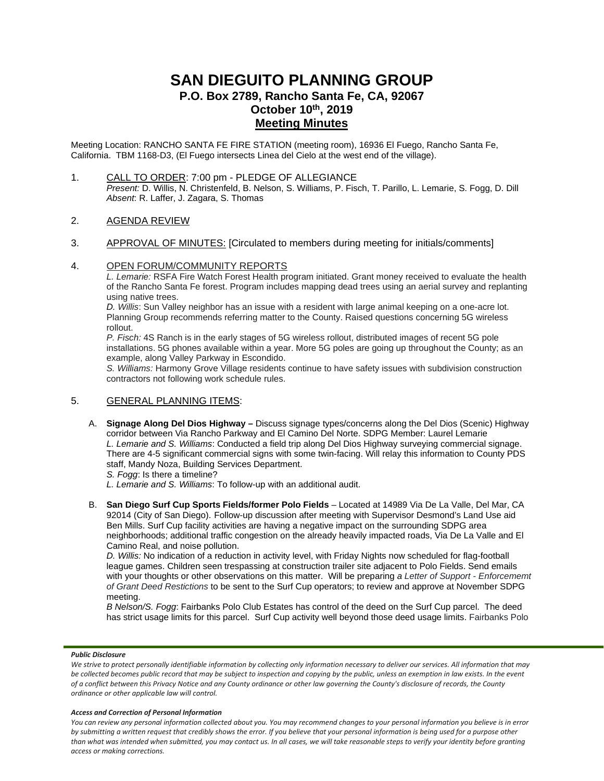# **SAN DIEGUITO PLANNING GROUP P.O. Box 2789, Rancho Santa Fe, CA, 92067 October 10th, 2019 Meeting Minutes**

Meeting Location: RANCHO SANTA FE FIRE STATION (meeting room), 16936 El Fuego, Rancho Santa Fe, California. TBM 1168-D3, (El Fuego intersects Linea del Cielo at the west end of the village).

1. CALL TO ORDER: 7:00 pm - PLEDGE OF ALLEGIANCE *Present:* D. Willis, N. Christenfeld, B. Nelson, S. Williams, P. Fisch, T. Parillo, L. Lemarie, S. Fogg, D. Dill *Absent*: R. Laffer, J. Zagara, S. Thomas

## 2. AGENDA REVIEW

3. APPROVAL OF MINUTES: [Circulated to members during meeting for initials/comments]

## 4. OPEN FORUM/COMMUNITY REPORTS

*L. Lemarie:* RSFA Fire Watch Forest Health program initiated. Grant money received to evaluate the health of the Rancho Santa Fe forest. Program includes mapping dead trees using an aerial survey and replanting using native trees.

*D. Willis*: Sun Valley neighbor has an issue with a resident with large animal keeping on a one-acre lot. Planning Group recommends referring matter to the County. Raised questions concerning 5G wireless rollout.

*P. Fisch:* 4S Ranch is in the early stages of 5G wireless rollout, distributed images of recent 5G pole installations. 5G phones available within a year. More 5G poles are going up throughout the County; as an example, along Valley Parkway in Escondido.

*S. Williams:* Harmony Grove Village residents continue to have safety issues with subdivision construction contractors not following work schedule rules.

# 5. GENERAL PLANNING ITEMS:

- A. **Signage Along Del Dios Highway –** Discuss signage types/concerns along the Del Dios (Scenic) Highway corridor between Via Rancho Parkway and El Camino Del Norte. SDPG Member: Laurel Lemarie *L. Lemarie and S. Williams*: Conducted a field trip along Del Dios Highway surveying commercial signage. There are 4-5 significant commercial signs with some twin-facing. Will relay this information to County PDS staff, Mandy Noza, Building Services Department.
	- *S. Fogg*: Is there a timeline?
	- *L. Lemarie and S. Williams*: To follow-up with an additional audit.
- B. **San Diego Surf Cup Sports Fields/former Polo Fields** Located at 14989 Via De La Valle, Del Mar, CA 92014 (City of San Diego). Follow-up discussion after meeting with Supervisor Desmond's Land Use aid Ben Mills. Surf Cup facility activities are having a negative impact on the surrounding SDPG area neighborhoods; additional traffic congestion on the already heavily impacted roads, Via De La Valle and El Camino Real, and noise pollution.

*D. Willis:* No indication of a reduction in activity level, with Friday Nights now scheduled for flag-football league games. Children seen trespassing at construction trailer site adjacent to Polo Fields. Send emails with your thoughts or other observations on this matter. Will be preparing *a Letter of Support - Enforcememt of Grant Deed Restictions* to be sent to the Surf Cup operators; to review and approve at November SDPG meeting.

*B Nelson/S. Fogg*: Fairbanks Polo Club Estates has control of the deed on the Surf Cup parcel. The deed has strict usage limits for this parcel. Surf Cup activity well beyond those deed usage limits. Fairbanks Polo

#### *Public Disclosure*

We strive to protect personally identifiable information by collecting only information necessary to deliver our services. All information that may *be collected becomes public record that may be subject to inspection and copying by the public, unless an exemption in law exists. In the event of a conflict between this Privacy Notice and any County ordinance or other law governing the County's disclosure of records, the County ordinance or other applicable law will control.*

#### *Access and Correction of Personal Information*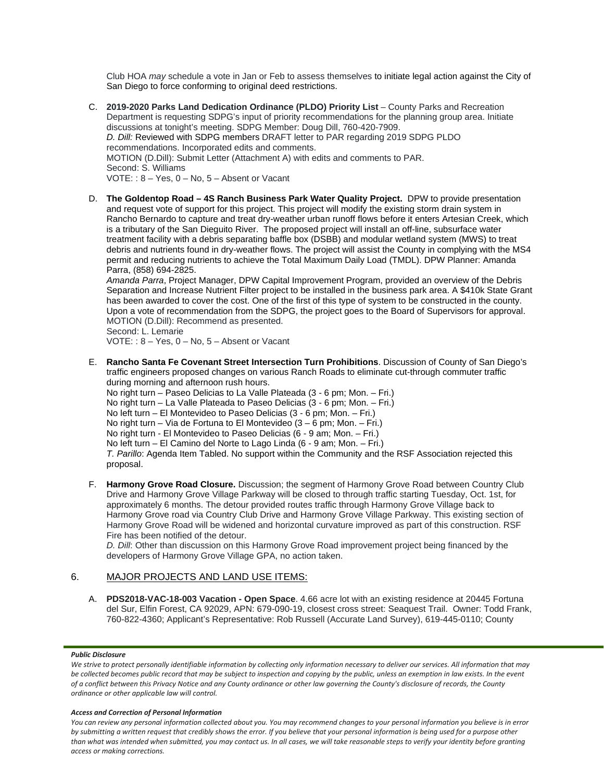Club HOA *may* schedule a vote in Jan or Feb to assess themselves to initiate legal action against the City of San Diego to force conforming to original deed restrictions.

- C. **2019-2020 Parks Land Dedication Ordinance (PLDO) Priority List** County Parks and Recreation Department is requesting SDPG's input of priority recommendations for the planning group area. Initiate discussions at tonight's meeting. SDPG Member: Doug Dill, 760-420-7909. *D. Dill:* Reviewed with SDPG members DRAFT letter to PAR regarding 2019 SDPG PLDO recommendations. Incorporated edits and comments. MOTION (D.Dill): Submit Letter (Attachment A) with edits and comments to PAR. Second: S. Williams VOTE: : 8 – Yes, 0 – No, 5 – Absent or Vacant
- D. **The Goldentop Road – 4S Ranch Business Park Water Quality Project.** DPW to provide presentation and request vote of support for this project. This project will modify the existing storm drain system in Rancho Bernardo to capture and treat dry-weather urban runoff flows before it enters Artesian Creek, which is a tributary of the San Dieguito River. The proposed project will install an off-line, subsurface water treatment facility with a debris separating baffle box (DSBB) and modular wetland system (MWS) to treat debris and nutrients found in dry-weather flows. The project will assist the County in complying with the MS4 permit and reducing nutrients to achieve the Total Maximum Daily Load (TMDL). DPW Planner: Amanda Parra, (858) 694-2825.

*Amanda Parra*, Project Manager, DPW Capital Improvement Program, provided an overview of the Debris Separation and Increase Nutrient Filter project to be installed in the business park area. A \$410k State Grant has been awarded to cover the cost. One of the first of this type of system to be constructed in the county. Upon a vote of recommendation from the SDPG, the project goes to the Board of Supervisors for approval. MOTION (D.Dill): Recommend as presented.

Second: L. Lemarie

VOTE: : 8 – Yes, 0 – No, 5 – Absent or Vacant

E. **Rancho Santa Fe Covenant Street Intersection Turn Prohibitions**. Discussion of County of San Diego's traffic engineers proposed changes on various Ranch Roads to eliminate cut-through commuter traffic during morning and afternoon rush hours.

No right turn – Paseo Delicias to La Valle Plateada (3 - 6 pm; Mon. – Fri.) No right turn – La Valle Plateada to Paseo Delicias (3 - 6 pm; Mon. – Fri.) No left turn – El Montevideo to Paseo Delicias (3 - 6 pm; Mon. – Fri.) No right turn – Via de Fortuna to El Montevideo (3 – 6 pm; Mon. – Fri.) No right turn - El Montevideo to Paseo Delicias (6 - 9 am; Mon. – Fri.) No left turn – El Camino del Norte to Lago Linda (6 - 9 am; Mon. – Fri.) *T. Parillo*: Agenda Item Tabled. No support within the Community and the RSF Association rejected this proposal.

F. **Harmony Grove Road Closure.** Discussion; the segment of Harmony Grove Road between Country Club Drive and Harmony Grove Village Parkway will be closed to through traffic starting Tuesday, Oct. 1st, for approximately 6 months. The detour provided routes traffic through Harmony Grove Village back to Harmony Grove road via Country Club Drive and Harmony Grove Village Parkway. This existing section of Harmony Grove Road will be widened and horizontal curvature improved as part of this construction. RSF Fire has been notified of the detour.

*D. Dill*: Other than discussion on this Harmony Grove Road improvement project being financed by the developers of Harmony Grove Village GPA, no action taken.

## 6. MAJOR PROJECTS AND LAND USE ITEMS:

A. **PDS2018-VAC-18-003 Vacation - Open Space**. 4.66 acre lot with an existing residence at 20445 Fortuna del Sur, Elfin Forest, CA 92029, APN: 679-090-19, closest cross street: Seaquest Trail. Owner: Todd Frank, 760-822-4360; Applicant's Representative: Rob Russell (Accurate Land Survey), 619-445-0110; County

#### *Public Disclosure*

We strive to protect personally identifiable information by collecting only information necessary to deliver our services. All information that may *be collected becomes public record that may be subject to inspection and copying by the public, unless an exemption in law exists. In the event of a conflict between this Privacy Notice and any County ordinance or other law governing the County's disclosure of records, the County ordinance or other applicable law will control.*

#### *Access and Correction of Personal Information*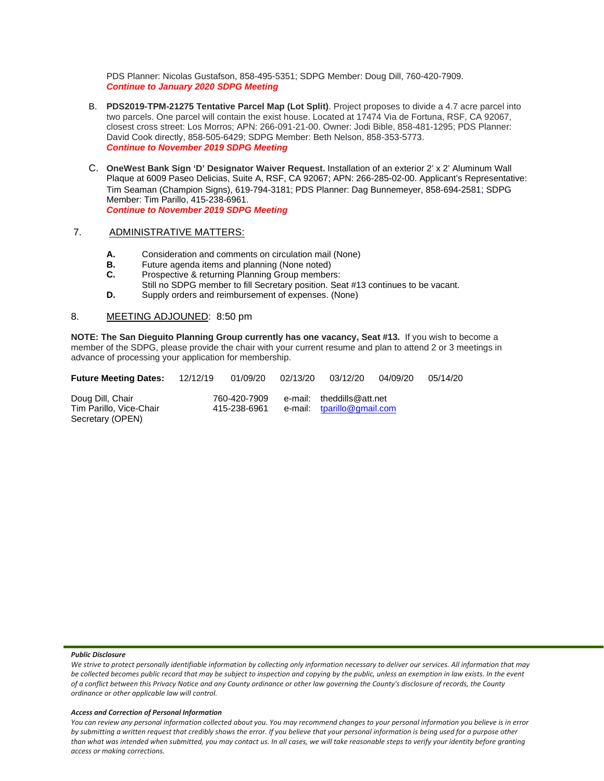PDS Planner: Nicolas Gustafson, 858-495-5351; SDPG Member: Doug Dill, 760-420-7909. *Continue to January 2020 SDPG Meeting*

- B. **PDS2019-TPM-21275 Tentative Parcel Map (Lot Split)**. Project proposes to divide a 4.7 acre parcel into two parcels. One parcel will contain the exist house. Located at 17474 Via de Fortuna, RSF, CA 92067, closest cross street: Los Morros; APN: 266-091-21-00. Owner: Jodi Bible, 858-481-1295; PDS Planner: David Cook directly, 858-505-6429; SDPG Member: Beth Nelson, 858-353-5773. *Continue to November 2019 SDPG Meeting*
- C. **OneWest Bank Sign 'D' Designator Waiver Request.** Installation of an exterior 2' x 2' Aluminum Wall Plaque at 6009 Paseo Delicias, Suite A, RSF, CA 92067; APN: 266-285-02-00. Applicant's Representative: Tim Seaman (Champion Signs), 619-794-3181; PDS Planner: Dag Bunnemeyer, 858-694-2581; SDPG Member: Tim Parillo, 415-238-6961. *Continue to November 2019 SDPG Meeting*

### 7. ADMINISTRATIVE MATTERS:

- **A.** Consideration and comments on circulation mail (None)<br>**B.** Future agenda items and planning (None noted)
- **B.** Future agenda items and planning (None noted)<br>**C.** Prospective & returning Planning Group member
- Prospective & returning Planning Group members:
- Still no SDPG member to fill Secretary position. Seat #13 continues to be vacant.
- **D.** Supply orders and reimbursement of expenses. (None)

## 8. MEETING ADJOUNED: 8:50 pm

**NOTE: The San Dieguito Planning Group currently has one vacancy, Seat #13.** If you wish to become a member of the SDPG, please provide the chair with your current resume and plan to attend 2 or 3 meetings in advance of processing your application for membership.

| <b>Future Meeting Dates:</b>                                    | 12/12/19 | 01/09/20                     | 02/13/20 | 03/12/20                                                | 04/09/20 | 05/14/20 |
|-----------------------------------------------------------------|----------|------------------------------|----------|---------------------------------------------------------|----------|----------|
| Doug Dill, Chair<br>Tim Parillo, Vice-Chair<br>Secretary (OPEN) |          | 760-420-7909<br>415-238-6961 |          | e-mail: theddills@att.net<br>e-mail: tparillo@gmail.com |          |          |

#### *Public Disclosure*

We strive to protect personally identifiable information by collecting only information necessary to deliver our services. All information that may *be collected becomes public record that may be subject to inspection and copying by the public, unless an exemption in law exists. In the event of a conflict between this Privacy Notice and any County ordinance or other law governing the County's disclosure of records, the County ordinance or other applicable law will control.*

#### *Access and Correction of Personal Information*